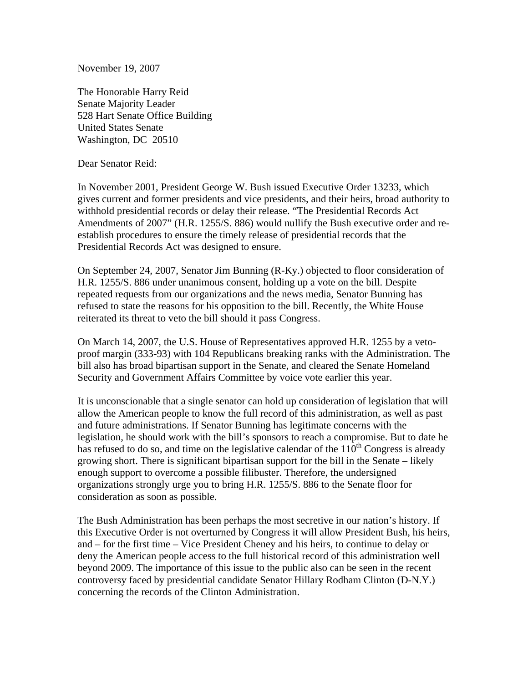November 19, 2007

The Honorable Harry Reid Senate Majority Leader 528 Hart Senate Office Building United States Senate Washington, DC 20510

Dear Senator Reid:

In November 2001, President George W. Bush issued Executive Order 13233, which gives current and former presidents and vice presidents, and their heirs, broad authority to withhold presidential records or delay their release. "The Presidential Records Act Amendments of 2007" (H.R. 1255/S. 886) would nullify the Bush executive order and reestablish procedures to ensure the timely release of presidential records that the Presidential Records Act was designed to ensure.

On September 24, 2007, Senator Jim Bunning (R-Ky.) objected to floor consideration of H.R. 1255/S. 886 under unanimous consent, holding up a vote on the bill. Despite repeated requests from our organizations and the news media, Senator Bunning has refused to state the reasons for his opposition to the bill. Recently, the White House reiterated its threat to veto the bill should it pass Congress.

On March 14, 2007, the U.S. House of Representatives approved H.R. 1255 by a vetoproof margin (333-93) with 104 Republicans breaking ranks with the Administration. The bill also has broad bipartisan support in the Senate, and cleared the Senate Homeland Security and Government Affairs Committee by voice vote earlier this year.

It is unconscionable that a single senator can hold up consideration of legislation that will allow the American people to know the full record of this administration, as well as past and future administrations. If Senator Bunning has legitimate concerns with the legislation, he should work with the bill's sponsors to reach a compromise. But to date he has refused to do so, and time on the legislative calendar of the  $110^{th}$  Congress is already growing short. There is significant bipartisan support for the bill in the Senate – likely enough support to overcome a possible filibuster. Therefore, the undersigned organizations strongly urge you to bring H.R. 1255/S. 886 to the Senate floor for consideration as soon as possible.

The Bush Administration has been perhaps the most secretive in our nation's history. If this Executive Order is not overturned by Congress it will allow President Bush, his heirs, and – for the first time – Vice President Cheney and his heirs, to continue to delay or deny the American people access to the full historical record of this administration well beyond 2009. The importance of this issue to the public also can be seen in the recent controversy faced by presidential candidate Senator Hillary Rodham Clinton (D-N.Y.) concerning the records of the Clinton Administration.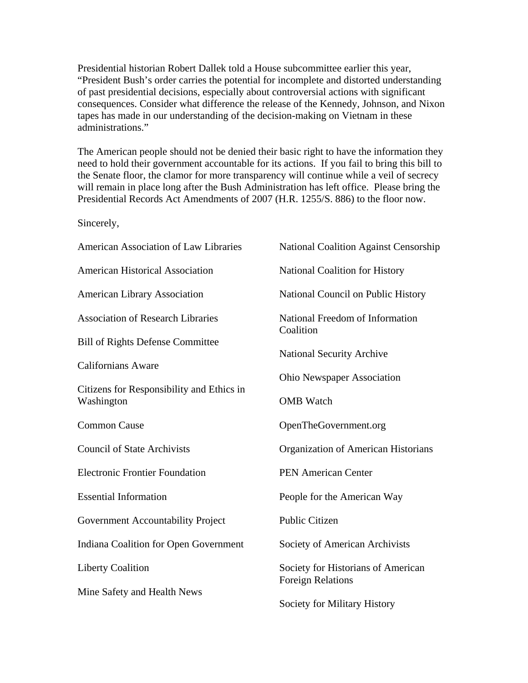Presidential historian Robert Dallek told a House subcommittee earlier this year, "President Bush's order carries the potential for incomplete and distorted understanding of past presidential decisions, especially about controversial actions with significant consequences. Consider what difference the release of the Kennedy, Johnson, and Nixon tapes has made in our understanding of the decision-making on Vietnam in these administrations."

The American people should not be denied their basic right to have the information they need to hold their government accountable for its actions. If you fail to bring this bill to the Senate floor, the clamor for more transparency will continue while a veil of secrecy will remain in place long after the Bush Administration has left office. Please bring the Presidential Records Act Amendments of 2007 (H.R. 1255/S. 886) to the floor now.

Sincerely,

| American Association of Law Libraries     | <b>National Coalition Against Censorship</b>                   |
|-------------------------------------------|----------------------------------------------------------------|
| <b>American Historical Association</b>    | National Coalition for History                                 |
| <b>American Library Association</b>       | <b>National Council on Public History</b>                      |
| <b>Association of Research Libraries</b>  | National Freedom of Information<br>Coalition                   |
| <b>Bill of Rights Defense Committee</b>   |                                                                |
| <b>Californians Aware</b>                 | <b>National Security Archive</b>                               |
| Citizens for Responsibility and Ethics in | <b>Ohio Newspaper Association</b>                              |
| Washington                                | <b>OMB</b> Watch                                               |
| <b>Common Cause</b>                       | OpenTheGovernment.org                                          |
| <b>Council of State Archivists</b>        | Organization of American Historians                            |
| <b>Electronic Frontier Foundation</b>     | <b>PEN American Center</b>                                     |
| <b>Essential Information</b>              | People for the American Way                                    |
| Government Accountability Project         | <b>Public Citizen</b>                                          |
| Indiana Coalition for Open Government     | Society of American Archivists                                 |
| <b>Liberty Coalition</b>                  | Society for Historians of American<br><b>Foreign Relations</b> |
| Mine Safety and Health News               | Society for Military History                                   |
|                                           |                                                                |